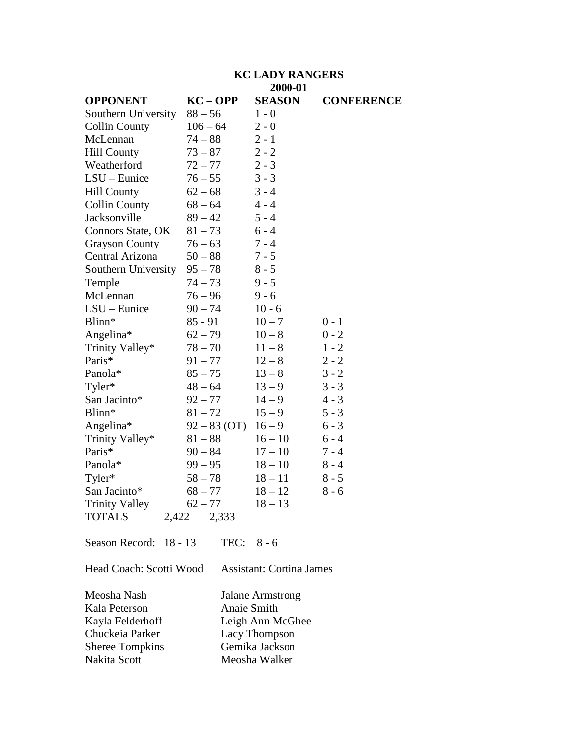#### **KC LADY RANGERS 2000-01**

|                             |                | $2000 - 01$   |                   |
|-----------------------------|----------------|---------------|-------------------|
| <b>OPPONENT</b>             | $KC - OPP$     | <b>SEASON</b> | <b>CONFERENCE</b> |
| Southern University         | $88 - 56$      | $1 - 0$       |                   |
| <b>Collin County</b>        | $106 - 64$     | $2 - 0$       |                   |
| McLennan                    | $74 - 88$      | $2 - 1$       |                   |
| <b>Hill County</b>          | $73 - 87$      | $2 - 2$       |                   |
| Weatherford                 | $72 - 77$      | $2 - 3$       |                   |
| $LSU$ – Eunice              | $76 - 55$      | $3 - 3$       |                   |
| <b>Hill County</b>          | $62 - 68$      | $3 - 4$       |                   |
| <b>Collin County</b>        | $68 - 64$      | $4 - 4$       |                   |
| Jacksonville                | $89 - 42$      | $5 - 4$       |                   |
| Connors State, OK           | $81 - 73$      | $6 - 4$       |                   |
| <b>Grayson County</b>       | $76 - 63$      | $7 - 4$       |                   |
| Central Arizona             | $50 - 88$      | $7 - 5$       |                   |
| Southern University         | $95 - 78$      | $8 - 5$       |                   |
| Temple                      | $74 - 73$      | $9 - 5$       |                   |
| McLennan                    | $76 - 96$      | $9 - 6$       |                   |
| LSU - Eunice                | $90 - 74$      | $10 - 6$      |                   |
| Blinn*                      | $85 - 91$      | $10 - 7$      | $0 - 1$           |
| Angelina*                   | $62 - 79$      | $10 - 8$      | $0 - 2$           |
| Trinity Valley*             | $78 - 70$      | $11 - 8$      | $1 - 2$           |
| Paris*                      | $91 - 77$      | $12 - 8$      | $2 - 2$           |
| Panola*                     | $85 - 75$      | $13 - 8$      | $3 - 2$           |
| Tyler*                      | $48 - 64$      | $13 - 9$      | $3 - 3$           |
| San Jacinto*                | $92 - 77$      | $14 - 9$      | $4 - 3$           |
| Blinn*                      | $81 - 72$      | $15 - 9$      | $5 - 3$           |
| Angelina*                   | $92 - 83$ (OT) | $16 - 9$      | $6 - 3$           |
| Trinity Valley*             | $81 - 88$      | $16 - 10$     | $6 - 4$           |
| Paris*                      | $90 - 84$      | $17 - 10$     | $7 - 4$           |
| Panola*                     | $99 - 95$      | $18 - 10$     | $8 - 4$           |
| Tyler*                      | $58 - 78$      | $18 - 11$     | $8 - 5$           |
| San Jacinto*                | $68 - 77$      | $18 - 12$     | $8 - 6$           |
| <b>Trinity Valley</b>       | $62 - 77$      | $18 - 13$     |                   |
| <b>TOTALS</b><br>2,422      | 2,333          |               |                   |
| Season Record:<br>$18 - 13$ | TEC:           | $8 - 6$       |                   |

Head Coach: Scotti Wood Assistant: Cortina James

| Meosha Nash            | <b>Jalane Armstrong</b> |
|------------------------|-------------------------|
| Kala Peterson          | Anaie Smith             |
| Kayla Felderhoff       | Leigh Ann McGhee        |
| Chuckeia Parker        | Lacy Thompson           |
| <b>Sheree Tompkins</b> | Gemika Jackson          |
| Nakita Scott           | Meosha Walker           |
|                        |                         |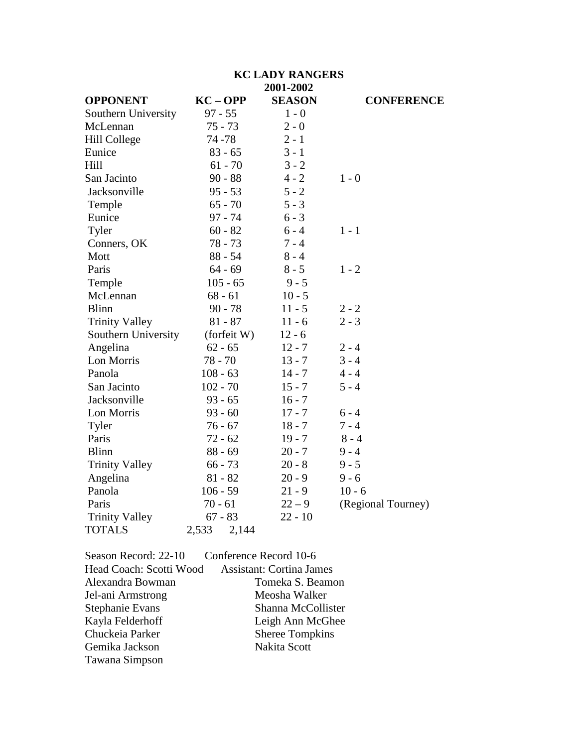|                       | <b>KC LADY RANGERS</b> |               |                    |  |  |
|-----------------------|------------------------|---------------|--------------------|--|--|
|                       |                        |               |                    |  |  |
| <b>OPPONENT</b>       | $KC - OPP$             | <b>SEASON</b> | <b>CONFERENCE</b>  |  |  |
| Southern University   | $97 - 55$              | $1 - 0$       |                    |  |  |
| McLennan              | $75 - 73$              | $2 - 0$       |                    |  |  |
| <b>Hill College</b>   | 74 - 78                | $2 - 1$       |                    |  |  |
| Eunice                | $83 - 65$              | $3 - 1$       |                    |  |  |
| Hill                  | $61 - 70$              | $3 - 2$       |                    |  |  |
| San Jacinto           | $90 - 88$              | $4 - 2$       | $1 - 0$            |  |  |
| Jacksonville          | $95 - 53$              | $5 - 2$       |                    |  |  |
| Temple                | $65 - 70$              | $5 - 3$       |                    |  |  |
| Eunice                | $97 - 74$              | $6 - 3$       |                    |  |  |
| Tyler                 | $60 - 82$              | $6 - 4$       | $1 - 1$            |  |  |
| Conners, OK           | $78 - 73$              | $7 - 4$       |                    |  |  |
| Mott                  | $88 - 54$              | $8 - 4$       |                    |  |  |
| Paris                 | $64 - 69$              | $8 - 5$       | $1 - 2$            |  |  |
| Temple                | $105 - 65$             | $9 - 5$       |                    |  |  |
| McLennan              | $68 - 61$              | $10 - 5$      |                    |  |  |
| <b>Blinn</b>          | $90 - 78$              | $11 - 5$      | $2 - 2$            |  |  |
| <b>Trinity Valley</b> | $81 - 87$              | $11 - 6$      | $2 - 3$            |  |  |
| Southern University   | (forfeit W)            | $12 - 6$      |                    |  |  |
| Angelina              | $62 - 65$              | $12 - 7$      | $2 - 4$            |  |  |
| Lon Morris            | $78 - 70$              | $13 - 7$      | $3 - 4$            |  |  |
| Panola                | $108 - 63$             | $14 - 7$      | $4 - 4$            |  |  |
| San Jacinto           | $102 - 70$             | $15 - 7$      | $5 - 4$            |  |  |
| Jacksonville          | $93 - 65$              | $16 - 7$      |                    |  |  |
| Lon Morris            | $93 - 60$              | $17 - 7$      | $6 - 4$            |  |  |
| Tyler                 | $76 - 67$              | $18 - 7$      | $7 - 4$            |  |  |
| Paris                 | $72 - 62$              | $19 - 7$      | $8 - 4$            |  |  |
| <b>Blinn</b>          | $88 - 69$              | $20 - 7$      | $9 - 4$            |  |  |
| <b>Trinity Valley</b> | $66 - 73$              | $20 - 8$      | $9 - 5$            |  |  |
| Angelina              | $81 - 82$              | $20 - 9$      | $9 - 6$            |  |  |
| Panola                | $106 - 59$             | $21 - 9$      | $10 - 6$           |  |  |
| Paris                 | $70 - 61$              | $22 - 9$      | (Regional Tourney) |  |  |
| <b>Trinity Valley</b> | $67 - 83$              | $22 - 10$     |                    |  |  |
| <b>TOTALS</b>         | 2,533<br>2,144         |               |                    |  |  |

| Season Record: 22-10    | Conference Record 10-6          |
|-------------------------|---------------------------------|
| Head Coach: Scotti Wood | <b>Assistant: Cortina James</b> |
| Alexandra Bowman        | Tomeka S. Beamon                |
| Jel-ani Armstrong       | Meosha Walker                   |
| Stephanie Evans         | Shanna McCollister              |
| Kayla Felderhoff        | Leigh Ann McGhee                |
| Chuckeia Parker         | <b>Sheree Tompkins</b>          |
| Gemika Jackson          | Nakita Scott                    |
| Tawana Simpson          |                                 |
|                         |                                 |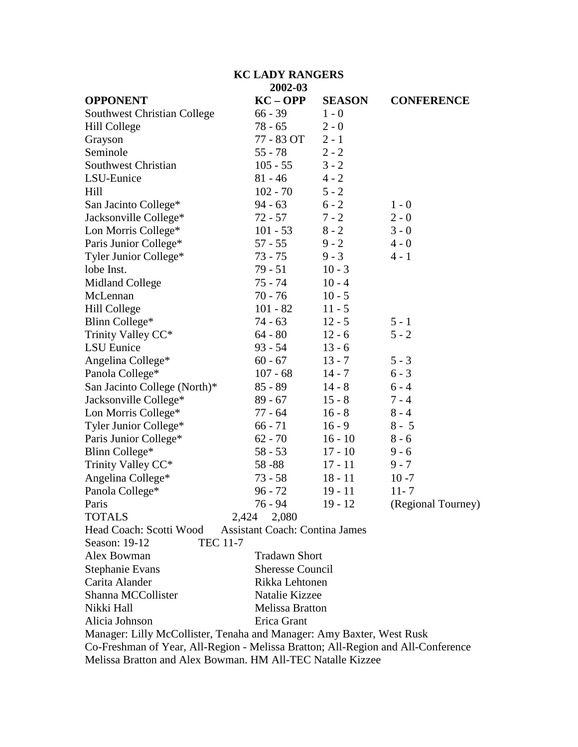## **KC LADY RANGERS 2002-03 OPPONENT KC – OPP SEASON CONFERENCE** Southwest Christian College 66 - 39 1 - 0 Hill College 78 - 65 2 - 0 Grayson 77 - 83 OT 2 - 1 Seminole 55 - 78 2 - 2 Southwest Christian 105 - 55 3 - 2 LSU-Eunice 81 - 46 4 - 2 Hill 102 - 70 5 - 2 San Jacinto College\* 94 - 63 6 - 2 1 - 0 Jacksonville College\*  $72 - 57$   $7 - 2$   $2 - 0$ Lon Morris College\*  $101 - 53$   $8 - 2$   $3 - 0$ Paris Junior College\*  $57 - 55$  9 - 2 4 - 0 Tyler Junior College\* 73 - 75 9 - 3 4 - 1 lobe Inst.<br>
Midland College 75 - 74 10 - 4 Midland College 75 - 74 10 - 4 McLennan 70 - 76 10 - 5 Hill College 101 - 82 11 - 5 Blinn College\* 74 - 63 12 - 5 5 - 1 Trinity Valley  $CC^*$  64 - 80 12 - 6 5 - 2 LSU Eunice 93 - 54 13 - 6 Angelina College\* 60 - 67 13 - 7 5 - 3 Panola College\* 107 - 68 14 - 7 6 - 3 San Jacinto College (North)\*  $85 - 89$  14 - 8 6 - 4 Jacksonville College\*  $89 - 67$  15 - 8 7 - 4 Lon Morris College\*  $77 - 64$  16 - 8 8 - 4 Tyler Junior College\*  $66 - 71$  16 - 9 8 - 5 Paris Junior College\* 62 - 70 16 - 10 8 - 6 Blinn College\* 58 - 53 17 - 10 9 - 6 Trinity Valley CC\* 58 -88 17 - 11 9 - 7 Angelina College\* 73 - 58 18 - 11 10 -7 Panola College\* 96 - 72 19 - 11 11- 7 Paris 2013 19 - 12 (Regional Tourney) TOTALS 2,424 2,080 Head Coach: Scotti Wood Assistant Coach: Contina James Season: 19-12 TEC 11-7 Alex Bowman Tradawn Short Stephanie Evans Sheresse Council Carita Alander Rikka Lehtonen Shanna MCCollister Natalie Kizzee Nikki Hall Melissa Bratton Alicia Johnson Erica Grant Manager: Lilly McCollister, Tenaha and Manager: Amy Baxter, West Rusk

Co-Freshman of Year, All-Region - Melissa Bratton; All-Region and All-Conference

Melissa Bratton and Alex Bowman. HM All-TEC Natalle Kizzee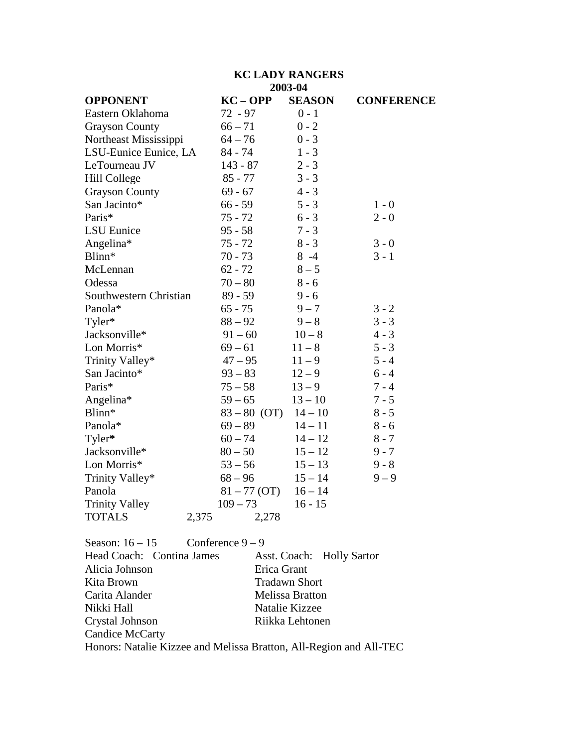## **KC LADY RANGERS 2003-04**

| <b>OPPONENT</b>        | $KC - OPP$     | <b>SEASON</b> | <b>CONFERENCE</b> |
|------------------------|----------------|---------------|-------------------|
| Eastern Oklahoma       | 72 - 97        | $0 - 1$       |                   |
| <b>Grayson County</b>  | $66 - 71$      | $0 - 2$       |                   |
| Northeast Mississippi  | $64 - 76$      | $0 - 3$       |                   |
| LSU-Eunice Eunice, LA  | $84 - 74$      | $1 - 3$       |                   |
| LeTourneau JV          | $143 - 87$     | $2 - 3$       |                   |
| <b>Hill College</b>    | $85 - 77$      | $3 - 3$       |                   |
| <b>Grayson County</b>  | $69 - 67$      | $4 - 3$       |                   |
| San Jacinto*           | $66 - 59$      | $5 - 3$       | $1 - 0$           |
| Paris*                 | $75 - 72$      | $6 - 3$       | $2 - 0$           |
| LSU Eunice             | $95 - 58$      | $7 - 3$       |                   |
| Angelina*              | $75 - 72$      | $8 - 3$       | $3 - 0$           |
| Blinn*                 | $70 - 73$      | $8 - 4$       | $3 - 1$           |
| McLennan               | $62 - 72$      | $8 - 5$       |                   |
| Odessa                 | $70 - 80$      | $8 - 6$       |                   |
| Southwestern Christian | $89 - 59$      | $9 - 6$       |                   |
| Panola*                | $65 - 75$      | $9 - 7$       | $3 - 2$           |
| Tyler*                 | $88 - 92$      | $9 - 8$       | $3 - 3$           |
| Jacksonville*          | $91 - 60$      | $10 - 8$      | $4 - 3$           |
| Lon Morris*            | $69 - 61$      | $11 - 8$      | $5 - 3$           |
| Trinity Valley*        | $47 - 95$      | $11 - 9$      | $5 - 4$           |
| San Jacinto*           | $93 - 83$      | $12 - 9$      | $6 - 4$           |
| Paris*                 | $75 - 58$      | $13 - 9$      | $7 - 4$           |
| Angelina*              | $59 - 65$      | $13 - 10$     | $7 - 5$           |
| Blinn*                 | $83 - 80$ (OT) | $14 - 10$     | $8 - 5$           |
| Panola*                | $69 - 89$      | $14 - 11$     | $8 - 6$           |
| Tyler*                 | $60 - 74$      | $14 - 12$     | $8 - 7$           |
| Jacksonville*          | $80 - 50$      | $15 - 12$     | $9 - 7$           |
| Lon Morris*            | $53 - 56$      | $15 - 13$     | $9 - 8$           |
| Trinity Valley*        | $68 - 96$      | $15 - 14$     | $9 - 9$           |
| Panola                 | $81 - 77$ (OT) | $16 - 14$     |                   |
| <b>Trinity Valley</b>  | $109 - 73$     | $16 - 15$     |                   |
| <b>TOTALS</b><br>2,375 | 2,278          |               |                   |

Season:  $16 - 15$  Conference  $9 - 9$ 

| Head Coach: Contina James                                          | Asst. Coach: Holly Sartor |
|--------------------------------------------------------------------|---------------------------|
| Alicia Johnson                                                     | Erica Grant               |
| Kita Brown                                                         | <b>Tradawn Short</b>      |
| Carita Alander                                                     | <b>Melissa Bratton</b>    |
| Nikki Hall                                                         | Natalie Kizzee            |
| Crystal Johnson                                                    | Riikka Lehtonen           |
| Candice McCarty                                                    |                           |
| Honors: Natalie Kizzee and Melissa Bratton, All-Region and All-TEC |                           |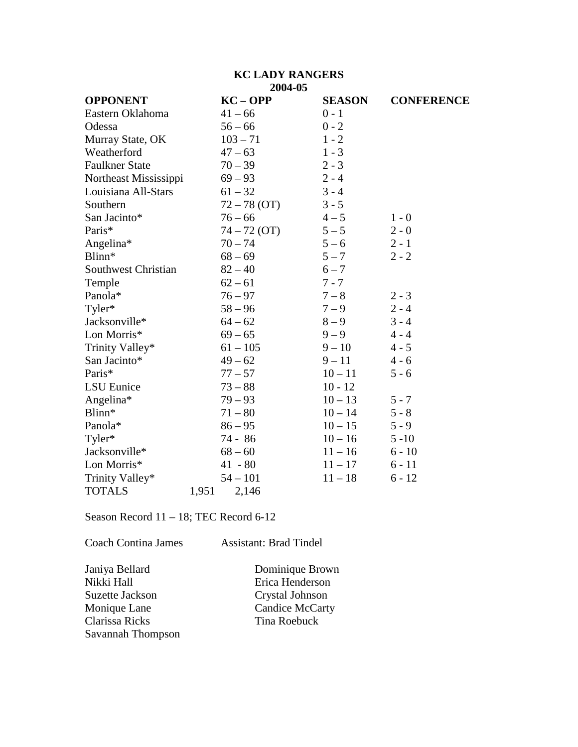### **KC LADY RANGERS 2004-05**

| <b>OPPONENT</b>            |       | $KC - OPP$     | <b>SEASON</b> | <b>CONFERENCE</b> |
|----------------------------|-------|----------------|---------------|-------------------|
| Eastern Oklahoma           |       | $41 - 66$      | $0 - 1$       |                   |
| Odessa                     |       | $56 - 66$      | $0 - 2$       |                   |
| Murray State, OK           |       | $103 - 71$     | $1 - 2$       |                   |
| Weatherford                |       | $47 - 63$      | $1 - 3$       |                   |
| <b>Faulkner State</b>      |       | $70 - 39$      | $2 - 3$       |                   |
| Northeast Mississippi      |       | $69 - 93$      | $2 - 4$       |                   |
| Louisiana All-Stars        |       | $61 - 32$      | $3 - 4$       |                   |
| Southern                   |       | $72 - 78$ (OT) | $3 - 5$       |                   |
| San Jacinto*               |       | $76 - 66$      | $4 - 5$       | $1 - 0$           |
| Paris*                     |       | $74 - 72$ (OT) | $5 - 5$       | $2 - 0$           |
| Angelina*                  |       | $70 - 74$      | $5 - 6$       | $2 - 1$           |
| Blinn*                     |       | $68 - 69$      | $5 - 7$       | $2 - 2$           |
| <b>Southwest Christian</b> |       | $82 - 40$      | $6 - 7$       |                   |
| Temple                     |       | $62 - 61$      | $7 - 7$       |                   |
| Panola*                    |       | $76 - 97$      | $7 - 8$       | $2 - 3$           |
| Tyler*                     |       | $58 - 96$      | $7 - 9$       | $2 - 4$           |
| Jacksonville*              |       | $64 - 62$      | $8 - 9$       | $3 - 4$           |
| Lon Morris*                |       | $69 - 65$      | $9 - 9$       | $4 - 4$           |
| Trinity Valley*            |       | $61 - 105$     | $9 - 10$      | $4 - 5$           |
| San Jacinto*               |       | $49 - 62$      | $9 - 11$      | $4 - 6$           |
| Paris*                     |       | $77 - 57$      | $10 - 11$     | $5 - 6$           |
| <b>LSU</b> Eunice          |       | $73 - 88$      | $10 - 12$     |                   |
| Angelina*                  |       | $79 - 93$      | $10 - 13$     | $5 - 7$           |
| Blinn*                     |       | $71 - 80$      | $10 - 14$     | $5 - 8$           |
| Panola*                    |       | $86 - 95$      | $10 - 15$     | $5 - 9$           |
| Tyler*                     |       | 74 - 86        | $10 - 16$     | $5 - 10$          |
| Jacksonville*              |       | $68 - 60$      | $11 - 16$     | $6 - 10$          |
| Lon Morris*                |       | $41 - 80$      | $11 - 17$     | $6 - 11$          |
| Trinity Valley*            |       | $54 - 101$     | $11 - 18$     | $6 - 12$          |
| <b>TOTALS</b>              | 1,951 | 2,146          |               |                   |

Season Record 11 – 18; TEC Record 6-12

Coach Contina James Assistant: Brad Tindel

Janiya Bellard Dominique Brown Nikki Hall Erica Henderson<br>Suzette Jackson Crystal Johnson Suzette Jackson<br>
Monique Lane<br>
Candice McCarty Clarissa Ricks Savannah Thompson

Candice McCarty<br>Tina Roebuck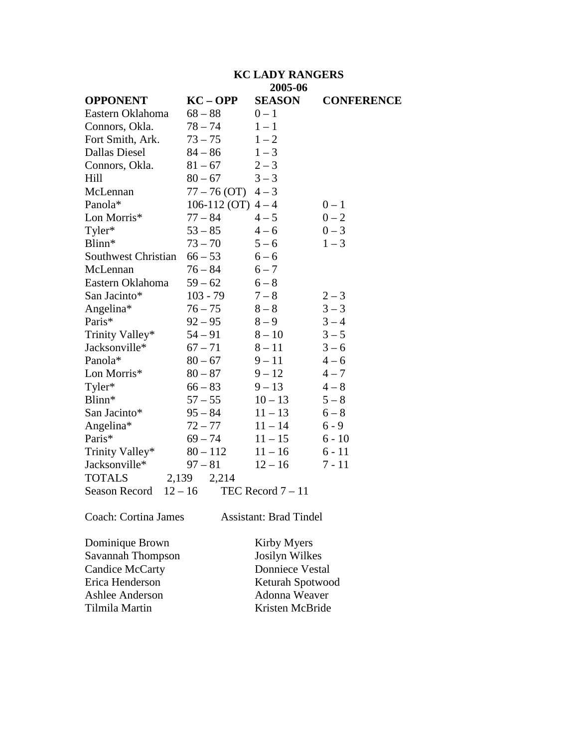#### **KC LADY RANGERS 2005-06**

|                                   |                    | $4000 - 00$         |                   |
|-----------------------------------|--------------------|---------------------|-------------------|
| <b>OPPONENT</b>                   | $KC - OPP$         | <b>SEASON</b>       | <b>CONFERENCE</b> |
| Eastern Oklahoma                  | $68 - 88$          | $0 - 1$             |                   |
| Connors, Okla.                    | $78 - 74$          | $1 - 1$             |                   |
| Fort Smith, Ark.                  | $73 - 75$          | $1 - 2$             |                   |
| <b>Dallas Diesel</b>              | $84 - 86$          | $1 - 3$             |                   |
| Connors, Okla.                    | $81 - 67$          | $2 - 3$             |                   |
| Hill                              | $80 - 67$          | $3 - 3$             |                   |
| McLennan                          | $77 - 76(OT)$      | $4 - 3$             |                   |
| Panola*                           | 106-112 (OT) $4-4$ |                     | $0 - 1$           |
| Lon Morris*                       | $77 - 84$          | $4 - 5$             | $0 - 2$           |
| Tyler*                            | $53 - 85$          | $4 - 6$             | $0 - 3$           |
| Blinn*                            | $73 - 70$          | $5 - 6$             | $1 - 3$           |
| Southwest Christian               | $66 - 53$          | $6 - 6$             |                   |
| McLennan                          | $76 - 84$          | $6 - 7$             |                   |
| Eastern Oklahoma                  | $59 - 62$          | $6 - 8$             |                   |
| San Jacinto*                      | $103 - 79$         | $7 - 8$             | $2 - 3$           |
| Angelina*                         | $76 - 75$          | $8-8$               | $3 - 3$           |
| Paris*                            | $92 - 95$          | $8 - 9$             | $3 - 4$           |
| Trinity Valley*                   | $54 - 91$          | $8 - 10$            | $3 - 5$           |
| Jacksonville*                     | $67 - 71$          | $8 - 11$            | $3 - 6$           |
| Panola*                           | $80 - 67$          | $9 - 11$            | $4 - 6$           |
| Lon Morris*                       | $80 - 87$          | $9 - 12$            | $4 - 7$           |
| Tyler*                            | $66 - 83$          | $9 - 13$            | $4 - 8$           |
| Blinn*                            | $57 - 55$          | $10 - 13$           | $5 - 8$           |
| San Jacinto*                      | $95 - 84$          | $11 - 13$           | $6 - 8$           |
| Angelina*                         | $72 - 77$          | $11 - 14$           | $6 - 9$           |
| Paris*                            | $69 - 74$          | $11 - 15$           | $6 - 10$          |
| Trinity Valley*                   | $80 - 112$         | $11 - 16$           | $6 - 11$          |
| Jacksonville*                     | $97 - 81$          | $12 - 16$           | $7 - 11$          |
| <b>TOTALS</b>                     | 2,139<br>2,214     |                     |                   |
| $12 - 16$<br><b>Season Record</b> |                    | TEC Record $7 - 11$ |                   |
|                                   |                    |                     |                   |

Coach: Cortina James Assistant: Brad Tindel

Dominique Brown Kirby Myers<br>
Savannah Thompson Josilyn Wilkes Savannah Thompson<br>Candice McCarty Candice McCarty<br>
Erica Henderson<br>
Keturah Spotwoo Ashlee Anderson<br>Tilmila Martin

Keturah Spotwood<br>Adonna Weaver Kristen McBride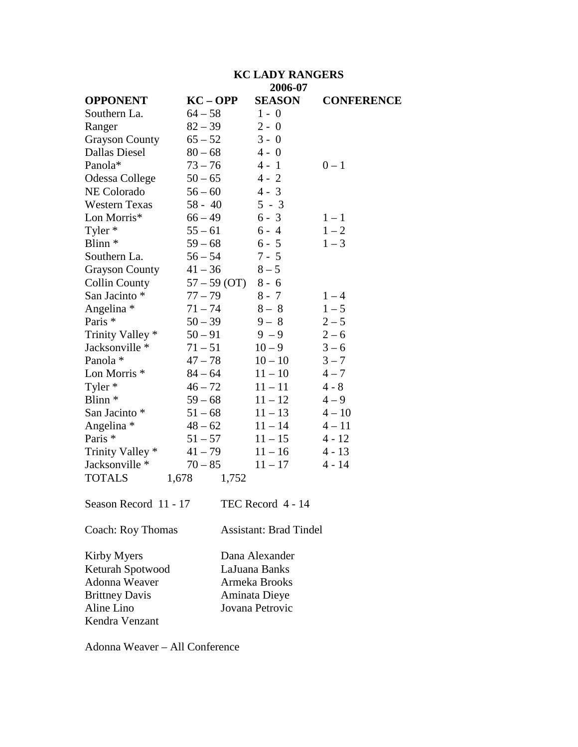|                                                                                         | <b>KC LADY RANGERS</b><br>2006-07 |                                                                                      |                   |
|-----------------------------------------------------------------------------------------|-----------------------------------|--------------------------------------------------------------------------------------|-------------------|
| <b>OPPONENT</b>                                                                         | $KC - OPP$                        | <b>SEASON</b>                                                                        | <b>CONFERENCE</b> |
| Southern La.                                                                            | $64 - 58$                         | $1 - 0$                                                                              |                   |
| Ranger                                                                                  | $82 - 39$                         | $2 - 0$                                                                              |                   |
| <b>Grayson County</b>                                                                   | $65 - 52$                         | $3 - 0$                                                                              |                   |
| <b>Dallas Diesel</b>                                                                    | $80 - 68$                         | $4 - 0$                                                                              |                   |
| Panola*                                                                                 | $73 - 76$                         | $4 - 1$                                                                              | $0 - 1$           |
| Odessa College                                                                          | $50 - 65$                         | $4 - 2$                                                                              |                   |
| <b>NE Colorado</b>                                                                      | $56 - 60$                         | $4 - 3$                                                                              |                   |
| <b>Western Texas</b>                                                                    | $58 - 40$                         | $5 - 3$                                                                              |                   |
| Lon Morris*                                                                             | $66 - 49$                         | $6 - 3$                                                                              | $1 - 1$           |
| Tyler *                                                                                 | $55 - 61$                         | $6 - 4$                                                                              | $1 - 2$           |
| Blinn <sup>*</sup>                                                                      | $59 - 68$                         | $6 - 5$                                                                              | $1 - 3$           |
| Southern La.                                                                            | $56 - 54$                         | $7 - 5$                                                                              |                   |
| <b>Grayson County</b>                                                                   | $41 - 36$                         | $8 - 5$                                                                              |                   |
| <b>Collin County</b>                                                                    | $57 - 59$ (OT)                    | $8 - 6$                                                                              |                   |
| San Jacinto *                                                                           | $77 - 79$                         | $8 - 7$                                                                              | $1 - 4$           |
| Angelina *                                                                              | $71 - 74$                         | $8 - 8$                                                                              | $1 - 5$           |
| Paris <sup>*</sup>                                                                      | $50 - 39$                         | $9 - 8$                                                                              | $2 - 5$           |
| Trinity Valley *                                                                        | $50 - 91$                         | $9 - 9$                                                                              | $2 - 6$           |
| Jacksonville *                                                                          | $71 - 51$                         | $10 - 9$                                                                             | $3 - 6$           |
| Panola *                                                                                | $47 - 78$                         | $10 - 10$                                                                            | $3 - 7$           |
| Lon Morris <sup>*</sup>                                                                 | $84 - 64$                         | $11 - 10$                                                                            | $4 - 7$           |
| Tyler *                                                                                 | $46 - 72$                         | $11 - 11$                                                                            | $4 - 8$           |
| Blinn <sup>*</sup>                                                                      | $59 - 68$                         | $11 - 12$                                                                            | $4 - 9$           |
| San Jacinto *                                                                           | $51 - 68$                         | $11 - 13$                                                                            | $4 - 10$          |
| Angelina *                                                                              | $48 - 62$                         | $11 - 14$                                                                            | $4 - 11$          |
| Paris *                                                                                 | $51 - 57$                         | $11 - 15$                                                                            | $4 - 12$          |
| Trinity Valley *                                                                        | $41 - 79$                         | $11 - 16$                                                                            | $4 - 13$          |
| Jacksonville *                                                                          | $70 - 85$                         | $11 - 17$                                                                            | $4 - 14$          |
| <b>TOTALS</b>                                                                           | 1,678<br>1,752                    |                                                                                      |                   |
| Season Record 11 - 17                                                                   |                                   | TEC Record 4 - 14                                                                    |                   |
| Coach: Roy Thomas                                                                       |                                   | <b>Assistant: Brad Tindel</b>                                                        |                   |
| Kirby Myers<br>Keturah Spotwood<br>Adonna Weaver<br><b>Brittney Davis</b><br>Aline Lino |                                   | Dana Alexander<br>LaJuana Banks<br>Armeka Brooks<br>Aminata Dieye<br>Jovana Petrovic |                   |

Adonna Weaver – All Conference

Kendra Venzant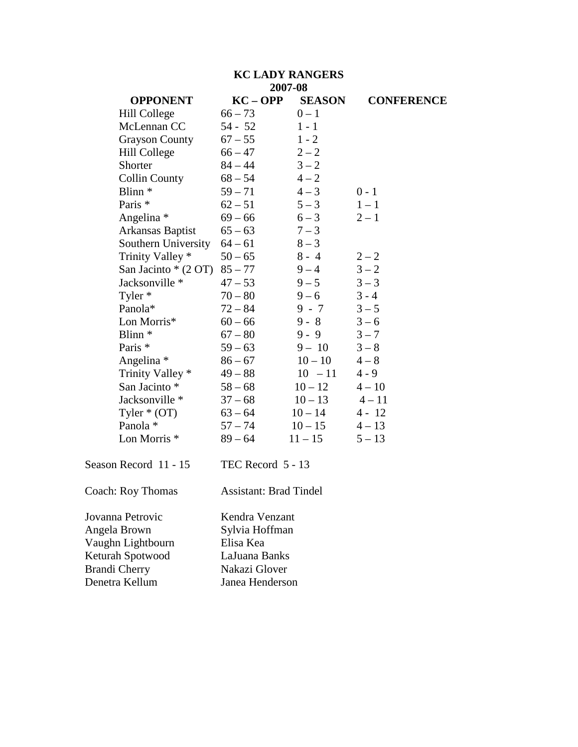## **KC LADY RANGERS 2007-08**

| <b>OPPONENT</b>          | $KC - OPP$                    | <b>SEASON</b> | <b>CONFERENCE</b> |  |
|--------------------------|-------------------------------|---------------|-------------------|--|
| Hill College             | $66 - 73$                     | $0 - 1$       |                   |  |
| McLennan CC              | 54 - 52                       | $1 - 1$       |                   |  |
| <b>Grayson County</b>    | $67 - 55$                     | $1 - 2$       |                   |  |
| Hill College             | $66 - 47$                     | $2 - 2$       |                   |  |
| Shorter                  | $84 - 44$                     | $3 - 2$       |                   |  |
| <b>Collin County</b>     | $68 - 54$                     | $4 - 2$       |                   |  |
| Blinn <sup>*</sup>       | $59 - 71$                     | $4 - 3$       | $0 - 1$           |  |
| Paris *                  | $62 - 51$                     | $5 - 3$       | $1-1$             |  |
| Angelina *               | $69 - 66$                     | $6 - 3$       | $2 - 1$           |  |
| Arkansas Baptist         | $65 - 63$                     | $7 - 3$       |                   |  |
| Southern University      | $64 - 61$                     | $8 - 3$       |                   |  |
| Trinity Valley *         | $50 - 65$                     | $8 - 4$       | $2 - 2$           |  |
| San Jacinto * (2 OT)     | $85 - 77$                     | $9 - 4$       | $3 - 2$           |  |
| Jacksonville *           | $47 - 53$                     | $9 - 5$       | $3 - 3$           |  |
| Tyler *                  | $70 - 80$                     | $9 - 6$       | $3 - 4$           |  |
| Panola*                  | $72 - 84$                     | $9 - 7$       | $3 - 5$           |  |
| Lon Morris*              | $60 - 66$                     | $9 - 8$       | $3 - 6$           |  |
| Blinn <sup>*</sup>       | $67 - 80$                     | $9 - 9$       | $3 - 7$           |  |
| Paris *                  | $59 - 63$                     | $9 - 10$      | $3 - 8$           |  |
| Angelina *               | $86 - 67$                     | $10 - 10$     | $4 - 8$           |  |
| Trinity Valley *         | $49 - 88$                     | $10 - 11$     | $4 - 9$           |  |
| San Jacinto *            | $58 - 68$                     | $10 - 12$     | $4 - 10$          |  |
| Jacksonville *           | $37 - 68$                     | $10 - 13$     | $4 - 11$          |  |
| Tyler $*(OT)$            | $63 - 64$                     | $10 - 14$     | $4 - 12$          |  |
| Panola *                 | $57 - 74$                     | $10 - 15$     | $4 - 13$          |  |
| Lon Morris <sup>*</sup>  | $89 - 64$                     | $11 - 15$     | $5 - 13$          |  |
| Season Record 11 - 15    | TEC Record 5 - 13             |               |                   |  |
| <b>Coach: Roy Thomas</b> | <b>Assistant: Brad Tindel</b> |               |                   |  |
| Jovanna Petrovic         | Kendra Venzant                |               |                   |  |
| Angela Brown             | Sylvia Hoffman                |               |                   |  |
| Vaughn Lightbourn        | Elisa Kea                     |               |                   |  |
| Keturah Spotwood         | LaJuana Banks                 |               |                   |  |
| <b>Brandi Cherry</b>     | Nakazi Glover                 |               |                   |  |
| Denetra Kellum           | Janea Henderson               |               |                   |  |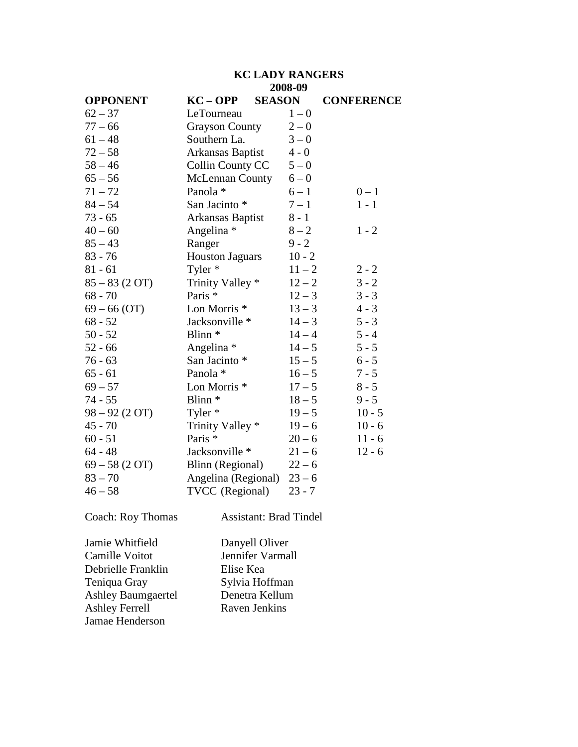## **KC LADY RANGERS 2008-09**

| <b>OPPONENT</b> | $KC - OPP$<br><b>SEASON</b> |          | <b>CONFERENCE</b> |
|-----------------|-----------------------------|----------|-------------------|
| $62 - 37$       | LeTourneau                  | $1 - 0$  |                   |
| $77 - 66$       | <b>Grayson County</b>       | $2 - 0$  |                   |
| $61 - 48$       | Southern La.                | $3 - 0$  |                   |
| $72 - 58$       | Arkansas Baptist            | $4 - 0$  |                   |
| $58 - 46$       | Collin County CC            | $5 - 0$  |                   |
| $65 - 56$       | <b>McLennan County</b>      | $6 - 0$  |                   |
| $71 - 72$       | Panola *                    | $6 - 1$  | $0 - 1$           |
| $84 - 54$       | San Jacinto *               | $7 - 1$  | $1 - 1$           |
| $73 - 65$       | Arkansas Baptist            | $8 - 1$  |                   |
| $40 - 60$       | Angelina *                  | $8 - 2$  | $1 - 2$           |
| $85 - 43$       | Ranger                      | $9 - 2$  |                   |
| $83 - 76$       | <b>Houston Jaguars</b>      | $10 - 2$ |                   |
| $81 - 61$       | Tyler *                     | $11 - 2$ | $2 - 2$           |
| $85 - 83(2 OT)$ | Trinity Valley *            | $12 - 2$ | $3 - 2$           |
| $68 - 70$       | Paris *                     | $12 - 3$ | $3 - 3$           |
| $69 - 66$ (OT)  | Lon Morris <sup>*</sup>     | $13 - 3$ | $4 - 3$           |
| $68 - 52$       | Jacksonville *              | $14 - 3$ | $5 - 3$           |
| $50 - 52$       | Blinn <sup>*</sup>          | $14 - 4$ | $5 - 4$           |
| $52 - 66$       | Angelina *                  | $14 - 5$ | $5 - 5$           |
| $76 - 63$       | San Jacinto *               | $15 - 5$ | $6 - 5$           |
| $65 - 61$       | Panola *                    | $16 - 5$ | $7 - 5$           |
| $69 - 57$       | Lon Morris <sup>*</sup>     | $17 - 5$ | $8 - 5$           |
| $74 - 55$       | Blinn <sup>*</sup>          | $18 - 5$ | $9 - 5$           |
| $98 - 92(2$ OT) | Tyler $*$                   | $19 - 5$ | $10 - 5$          |
| $45 - 70$       | Trinity Valley *            | $19 - 6$ | $10 - 6$          |
| $60 - 51$       | Paris *                     | $20 - 6$ | $11 - 6$          |
| $64 - 48$       | Jacksonville *              | $21 - 6$ | $12 - 6$          |
| $69 - 58(2$ OT) | Blinn (Regional)            | $22 - 6$ |                   |
| $83 - 70$       | Angelina (Regional)         | $23 - 6$ |                   |
| $46 - 58$       | TVCC (Regional)             | $23 - 7$ |                   |

Coach: Roy Thomas Assistant: Brad Tindel

Jamie Whitfield Danyell Oliver<br>
Camille Voitot Jennifer Varma Jennifer Varmall Debrielle Franklin Elise Kea Sylvia Hoffman<br>Denetra Kellum Ashley Baumgaertel Denetra Kellun<br>Ashley Ferrell Raven Jenkins Ashley Ferrell Jamae Henderson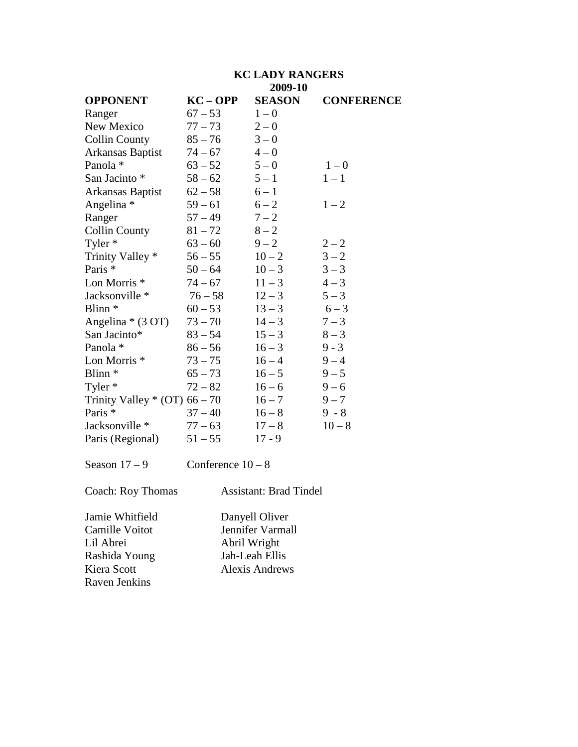|                                | <b>KC LADY RANGERS</b>  |                          |                   |  |
|--------------------------------|-------------------------|--------------------------|-------------------|--|
| <b>OPPONENT</b>                | $KC - OPP$              | 2009-10<br><b>SEASON</b> | <b>CONFERENCE</b> |  |
| Ranger                         | $67 - 53$               | $1 - 0$                  |                   |  |
| New Mexico                     | $77 - 73$               | $2 - 0$                  |                   |  |
| <b>Collin County</b>           | $85 - 76$               | $3 - 0$                  |                   |  |
| Arkansas Baptist               | $74 - 67$               | $4 - 0$                  |                   |  |
| Panola *                       | $63 - 52$               | $5 - 0$                  | $1 - 0$           |  |
| San Jacinto *                  | $58 - 62$               | $5 - 1$                  | $1 - 1$           |  |
| Arkansas Baptist               | $62 - 58$               | $6 - 1$                  |                   |  |
| Angelina *                     | $59 - 61$               | $6 - 2$                  | $1 - 2$           |  |
| Ranger                         | $57 - 49$               | $7 - 2$                  |                   |  |
| <b>Collin County</b>           | $81 - 72$               | $8 - 2$                  |                   |  |
| Tyler $*$                      | $63 - 60$               | $9 - 2$                  | $2 - 2$           |  |
| Trinity Valley *               | $56 - 55$               | $10 - 2$                 | $3 - 2$           |  |
| Paris *                        | $50 - 64$               | $10 - 3$                 | $3 - 3$           |  |
| Lon Morris <sup>*</sup>        | $74 - 67$               | $11 - 3$                 | $4 - 3$           |  |
| Jacksonville *                 | $76 - 58$               | $12 - 3$                 | $5 - 3$           |  |
| Blinn <sup>*</sup>             | $60 - 53$               | $13 - 3$                 | $6 - 3$           |  |
| Angelina * (3 OT)              | $73 - 70$               | $14 - 3$                 | $7 - 3$           |  |
| San Jacinto*                   | $83 - 54$               | $15 - 3$                 | $8 - 3$           |  |
| Panola *                       | $86 - 56$               | $16 - 3$                 | $9 - 3$           |  |
| Lon Morris <sup>*</sup>        | $73 - 75$               | $16 - 4$                 | $9 - 4$           |  |
| Blinn <sup>*</sup>             | $65 - 73$               | $16 - 5$                 | $9 - 5$           |  |
| Tyler *                        | $72 - 82$               | $16 - 6$                 | $9 - 6$           |  |
| Trinity Valley $*(OT)$ 66 – 70 |                         | $16 - 7$                 | $9 - 7$           |  |
| Paris *                        | $37 - 40$               | $16 - 8$                 | $9 - 8$           |  |
| Jacksonville *                 | $77 - 63$               | $17 - 8$                 | $10 - 8$          |  |
| Paris (Regional)               | $51 - 55$               | $17 - 9$                 |                   |  |
| $\overline{ }$                 | $\sim$ $\sim$<br>$\sim$ |                          |                   |  |

Season  $17 - 9$  Conference  $10 - 8$ 

Coach: Roy Thomas Assistant: Brad Tindel

Jamie Whitfield Danyell Oliver Lil Abrei Abril Wright<br>Rashida Young Jah-Leah Ellis Rashida Young Raven Jenkins

Camille Voitot Jennifer Varmall Kiera Scott Alexis Andrews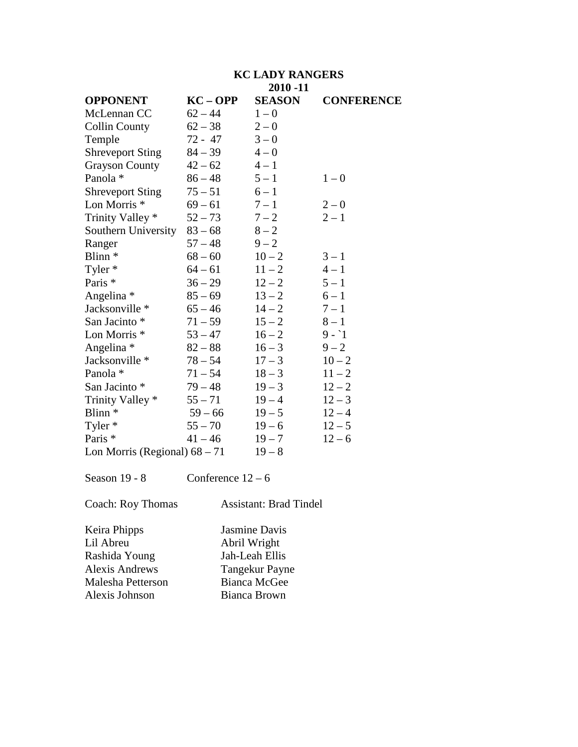|                                 | <b>KC LADY RANGERS</b> |               |                   |  |  |
|---------------------------------|------------------------|---------------|-------------------|--|--|
|                                 | $2010 - 11$            |               |                   |  |  |
| <b>OPPONENT</b>                 | $KC - OPP$             | <b>SEASON</b> | <b>CONFERENCE</b> |  |  |
| McLennan CC                     | $62 - 44$              | $1 - 0$       |                   |  |  |
| <b>Collin County</b>            | $62 - 38$              | $2 - 0$       |                   |  |  |
| Temple                          | $72 - 47$              | $3 - 0$       |                   |  |  |
| <b>Shreveport Sting</b>         | $84 - 39$              | $4 - 0$       |                   |  |  |
| <b>Grayson County</b>           | $42 - 62$              | $4 - 1$       |                   |  |  |
| Panola *                        | $86 - 48$              | $5 - 1$       | $1 - 0$           |  |  |
| <b>Shreveport Sting</b>         | $75 - 51$              | $6 - 1$       |                   |  |  |
| Lon Morris <sup>*</sup>         | $69 - 61$              | $7 - 1$       | $2 - 0$           |  |  |
| Trinity Valley *                | $52 - 73$              | $7 - 2$       | $2 - 1$           |  |  |
| Southern University             | $83 - 68$              | $8 - 2$       |                   |  |  |
| Ranger                          | $57 - 48$              | $9 - 2$       |                   |  |  |
| Blinn <sup>*</sup>              | $68 - 60$              | $10 - 2$      | $3 - 1$           |  |  |
| Tyler *                         | $64 - 61$              | $11 - 2$      | $4 - 1$           |  |  |
| Paris <sup>*</sup>              | $36 - 29$              | $12 - 2$      | $5 - 1$           |  |  |
| Angelina *                      | $85 - 69$              | $13 - 2$      | $6 - 1$           |  |  |
| Jacksonville *                  | $65 - 46$              | $14 - 2$      | $7 - 1$           |  |  |
| San Jacinto *                   | $71 - 59$              | $15 - 2$      | $8-1$             |  |  |
| Lon Morris <sup>*</sup>         | $53 - 47$              | $16 - 2$      | $9 - 1$           |  |  |
| Angelina *                      | $82 - 88$              | $16 - 3$      | $9 - 2$           |  |  |
| Jacksonville *                  | $78 - 54$              | $17 - 3$      | $10 - 2$          |  |  |
| Panola *                        | $71 - 54$              | $18 - 3$      | $11 - 2$          |  |  |
| San Jacinto *                   | $79 - 48$              | $19 - 3$      | $12 - 2$          |  |  |
| Trinity Valley *                | $55 - 71$              | $19 - 4$      | $12 - 3$          |  |  |
| Blinn <sup>*</sup>              | $59 - 66$              | $19 - 5$      | $12 - 4$          |  |  |
| Tyler *                         | $55 - 70$              | $19 - 6$      | $12 - 5$          |  |  |
| Paris *                         | $41 - 46$              | $19 - 7$      | $12 - 6$          |  |  |
| Lon Morris (Regional) $68 - 71$ |                        | $19 - 8$      |                   |  |  |

Season  $19 - 8$  Conference  $12 - 6$ 

Coach: Roy Thomas Assistant: Brad Tindel

Keira Phipps Jasmine Davis<br>Lil Abreu Abril Wright Abril Wright<br>Jah-Leah Ellis Rashida Young Alexis Andrews Tangekur Payne<br>
Malesha Petterson Bianca McGee Malesha Petterson<br>
Alexis Johnson<br>
Bianca Brown Alexis Johnson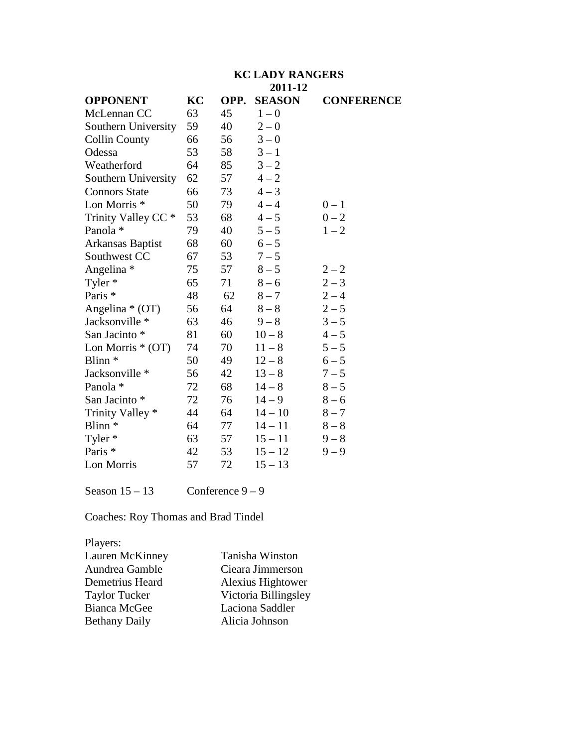# **KC LADY RANGERS**

|                                |    |      | 2011-12       |                   |
|--------------------------------|----|------|---------------|-------------------|
| <b>OPPONENT</b>                | KC | OPP. | <b>SEASON</b> | <b>CONFERENCE</b> |
| McLennan CC                    | 63 | 45   | $1 - 0$       |                   |
| Southern University            | 59 | 40   | $2 - 0$       |                   |
| <b>Collin County</b>           | 66 | 56   | $3 - 0$       |                   |
| Odessa                         | 53 | 58   | $3 - 1$       |                   |
| Weatherford                    | 64 | 85   | $3 - 2$       |                   |
| Southern University            | 62 | 57   | $4 - 2$       |                   |
| <b>Connors State</b>           | 66 | 73   | $4 - 3$       |                   |
| Lon Morris <sup>*</sup>        | 50 | 79   | $4 - 4$       | $0 - 1$           |
| Trinity Valley CC <sup>*</sup> | 53 | 68   | $4 - 5$       | $0 - 2$           |
| Panola *                       | 79 | 40   | $5 - 5$       | $1 - 2$           |
| Arkansas Baptist               | 68 | 60   | $6 - 5$       |                   |
| Southwest CC                   | 67 | 53   | $7 - 5$       |                   |
| Angelina *                     | 75 | 57   | $8 - 5$       | $2 - 2$           |
| Tyler *                        | 65 | 71   | $8 - 6$       | $2 - 3$           |
| Paris *                        | 48 | 62   | $8 - 7$       | $2 - 4$           |
| Angelina $*(OT)$               | 56 | 64   | $8-8$         | $2 - 5$           |
| Jacksonville *                 | 63 | 46   | $9 - 8$       | $3 - 5$           |
| San Jacinto *                  | 81 | 60   | $10 - 8$      | $4 - 5$           |
| Lon Morris $*(OT)$             | 74 | 70   | $11 - 8$      | $5 - 5$           |
| Blinn <sup>*</sup>             | 50 | 49   | $12 - 8$      | $6 - 5$           |
| Jacksonville *                 | 56 | 42   | $13 - 8$      | $7 - 5$           |
| Panola *                       | 72 | 68   | $14 - 8$      | $8 - 5$           |
| San Jacinto *                  | 72 | 76   | $14 - 9$      | $8 - 6$           |
| Trinity Valley *               | 44 | 64   | $14 - 10$     | $8 - 7$           |
| Blinn <sup>*</sup>             | 64 | 77   | $14 - 11$     | $8-8$             |
| Tyler *                        | 63 | 57   | $15 - 11$     | $9 - 8$           |
| Paris <sup>*</sup>             | 42 | 53   | $15 - 12$     | $9 - 9$           |
| Lon Morris                     | 57 | 72   | $15 - 13$     |                   |
|                                |    |      |               |                   |

Season  $15 - 13$  Conference  $9 - 9$ 

Coaches: Roy Thomas and Brad Tindel

| Tanisha Winston      |
|----------------------|
| Cieara Jimmerson     |
| Alexius Hightower    |
| Victoria Billingsley |
| Laciona Saddler      |
| Alicia Johnson       |
|                      |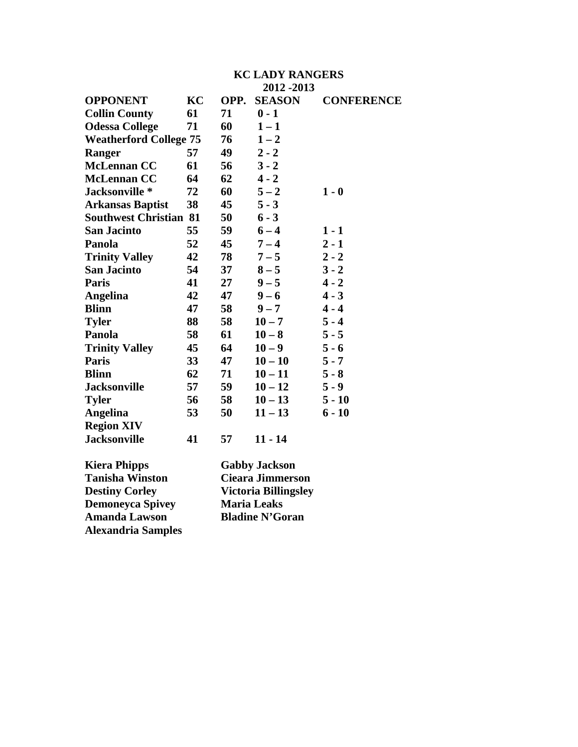|                               | <b>KC LADY RANGERS</b> |                        |                      |                   |  |  |
|-------------------------------|------------------------|------------------------|----------------------|-------------------|--|--|
|                               |                        |                        | 2012 - 2013          |                   |  |  |
| <b>OPPONENT</b>               | KC                     | OPP.                   | <b>SEASON</b>        | <b>CONFERENCE</b> |  |  |
| <b>Collin County</b>          | 61                     | 71                     | $0 - 1$              |                   |  |  |
| <b>Odessa College</b>         | 71                     | 60                     | $1 - 1$              |                   |  |  |
| <b>Weatherford College 75</b> |                        | 76                     | $1 - 2$              |                   |  |  |
| <b>Ranger</b>                 | 57                     | 49                     | $2 - 2$              |                   |  |  |
| <b>McLennan CC</b>            | 61                     | 56                     | $3 - 2$              |                   |  |  |
| <b>McLennan CC</b>            | 64                     | 62                     | $4 - 2$              |                   |  |  |
| Jacksonville*                 | 72                     | 60                     | $5 - 2$              | $1 - 0$           |  |  |
| <b>Arkansas Baptist</b>       | 38                     | 45                     | $5 - 3$              |                   |  |  |
| <b>Southwest Christian 81</b> |                        | 50                     | $6 - 3$              |                   |  |  |
| <b>San Jacinto</b>            | 55                     | 59                     | $6 - 4$              | $1 - 1$           |  |  |
| Panola                        | 52                     | 45                     | $7 - 4$              | $2 - 1$           |  |  |
| <b>Trinity Valley</b>         | 42                     | 78                     | $7 - 5$              | $2 - 2$           |  |  |
| <b>San Jacinto</b>            | 54                     | 37                     | $8 - 5$              | $3 - 2$           |  |  |
| <b>Paris</b>                  | 41                     | 27                     | $9 - 5$              | $4 - 2$           |  |  |
| <b>Angelina</b>               | 42                     | 47                     | $9 - 6$              | $4 - 3$           |  |  |
| <b>Blinn</b>                  | 47                     | 58                     | $9 - 7$              | $4 - 4$           |  |  |
| <b>Tyler</b>                  | 88                     | 58                     | $10 - 7$             | $5 - 4$           |  |  |
| Panola                        | 58                     | 61                     | $10 - 8$             | $5 - 5$           |  |  |
| <b>Trinity Valley</b>         | 45                     | 64                     | $10 - 9$             | $5 - 6$           |  |  |
| <b>Paris</b>                  | 33                     | 47                     | $10 - 10$            | $5 - 7$           |  |  |
| <b>Blinn</b>                  | 62                     | 71                     | $10 - 11$            | $5 - 8$           |  |  |
| <b>Jacksonville</b>           | 57                     | 59                     | $10 - 12$            | $5 - 9$           |  |  |
| <b>Tyler</b>                  | 56                     | 58                     | $10 - 13$            | $5 - 10$          |  |  |
| <b>Angelina</b>               | 53                     | 50                     | $11 - 13$            | $6 - 10$          |  |  |
| <b>Region XIV</b>             |                        |                        |                      |                   |  |  |
| <b>Jacksonville</b>           | 41                     | 57                     | $11 - 14$            |                   |  |  |
| <b>Kiera Phipps</b>           |                        |                        | <b>Gabby Jackson</b> |                   |  |  |
| <b>Tanisha Winston</b>        |                        | Cieara Jimmerson       |                      |                   |  |  |
| <b>Destiny Corley</b>         |                        |                        | Victoria Billingsley |                   |  |  |
| <b>Demoneyca Spivey</b>       |                        | <b>Maria Leaks</b>     |                      |                   |  |  |
| <b>Amanda Lawson</b>          |                        | <b>Bladine N'Goran</b> |                      |                   |  |  |

**Alexandria Samples**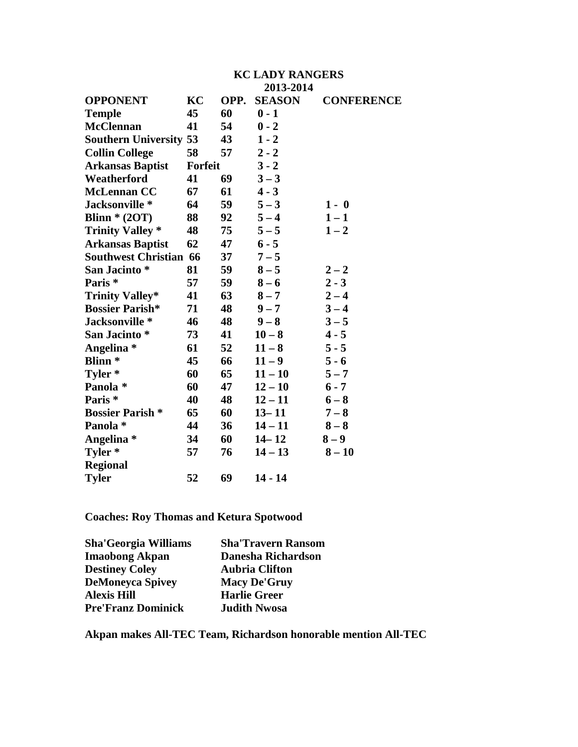|                               | <b>KC LADY RANGERS</b> |      |               |                   |
|-------------------------------|------------------------|------|---------------|-------------------|
|                               |                        |      | 2013-2014     |                   |
| <b>OPPONENT</b>               | KC                     | OPP. | <b>SEASON</b> | <b>CONFERENCE</b> |
| <b>Temple</b>                 | 45                     | 60   | $0 - 1$       |                   |
| <b>McClennan</b>              | 41                     | 54   | $0 - 2$       |                   |
| <b>Southern University 53</b> |                        | 43   | $1 - 2$       |                   |
| <b>Collin College</b>         | 58                     | 57   | $2 - 2$       |                   |
| <b>Arkansas Baptist</b>       | <b>Forfeit</b>         |      | $3 - 2$       |                   |
| Weatherford                   | 41                     | 69   | $3 - 3$       |                   |
| <b>McLennan CC</b>            | 67                     | 61   | $4 - 3$       |                   |
| Jacksonville *                | 64                     | 59   | $5 - 3$       | $1 - 0$           |
| Blinn $*(2OT)$                | 88                     | 92   | $5 - 4$       | $1 - 1$           |
| <b>Trinity Valley *</b>       | 48                     | 75   | $5 - 5$       | $1 - 2$           |
| <b>Arkansas Baptist</b>       | 62                     | 47   | $6 - 5$       |                   |
| <b>Southwest Christian 66</b> |                        | 37   | $7 - 5$       |                   |
| San Jacinto*                  | 81                     | 59   | $8 - 5$       | $2 - 2$           |
| Paris <sup>*</sup>            | 57                     | 59   | $8 - 6$       | $2 - 3$           |
| <b>Trinity Valley*</b>        | 41                     | 63   | $8 - 7$       | $2 - 4$           |
| <b>Bossier Parish*</b>        | 71                     | 48   | $9 - 7$       | $3 - 4$           |
| Jacksonville *                | 46                     | 48   | $9 - 8$       | $3 - 5$           |
| San Jacinto *                 | 73                     | 41   | $10 - 8$      | $4 - 5$           |
| Angelina *                    | 61                     | 52   | $11 - 8$      | $5 - 5$           |
| <b>Blinn</b> *                | 45                     | 66   | $11 - 9$      | $5 - 6$           |
| Tyler *                       | 60                     | 65   | $11 - 10$     | $5 - 7$           |
| Panola *                      | 60                     | 47   | $12 - 10$     | $6 - 7$           |
| Paris <sup>*</sup>            | 40                     | 48   | $12 - 11$     | $6 - 8$           |
| <b>Bossier Parish *</b>       | 65                     | 60   | $13 - 11$     | $7 - 8$           |
| Panola *                      | 44                     | 36   | $14 - 11$     | $8 - 8$           |
| Angelina *                    | 34                     | 60   | $14 - 12$     | $8-9$             |
| Tyler *                       | 57                     | 76   | $14 - 13$     | $8 - 10$          |
| <b>Regional</b>               |                        |      |               |                   |
| <b>Tyler</b>                  | 52                     | 69   | $14 - 14$     |                   |

**Coaches: Roy Thomas and Ketura Spotwood** 

| <b>Sha'Georgia Williams</b> | <b>Sha'Travern Ransom</b> |
|-----------------------------|---------------------------|
| <b>Imaobong Akpan</b>       | <b>Danesha Richardson</b> |
| <b>Destiney Coley</b>       | <b>Aubria Clifton</b>     |
| <b>DeMoneyca Spivey</b>     | <b>Macy De'Gruy</b>       |
| <b>Alexis Hill</b>          | <b>Harlie Greer</b>       |
| <b>Pre'Franz Dominick</b>   | <b>Judith Nwosa</b>       |

**Akpan makes All-TEC Team, Richardson honorable mention All-TEC**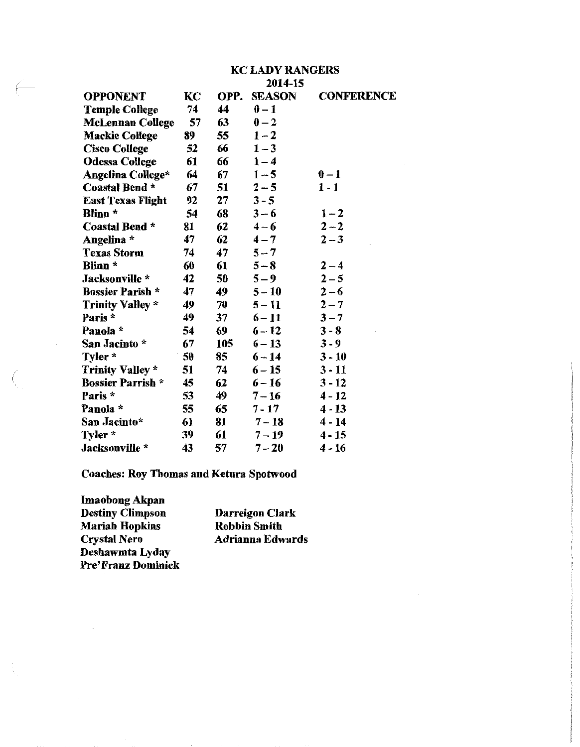|                          | KC LADY RANGERS |      |               |                   |
|--------------------------|-----------------|------|---------------|-------------------|
|                          | 2014-15         |      |               |                   |
| <b>OPPONENT</b>          | KC              | OPP. | <b>SEASON</b> | <b>CONFERENCE</b> |
| <b>Temple College</b>    | 74              | 44   | $0-1$         |                   |
| <b>McLennan College</b>  | 57              | 63   | $0-2$         |                   |
| <b>Mackie College</b>    | 89              | 55   | $1 - 2$       |                   |
| <b>Cisco College</b>     | 52              | 66   | $1 - 3$       |                   |
| <b>Odessa College</b>    | 61              | 66   | $1 - 4$       |                   |
| Angelina College*        | 64              | 67   | $1 - 5$       | $0 - 1$           |
| <b>Coastal Bend *</b>    | 67              | 51   | $2 - 5$       | $1 - 1$           |
| <b>East Texas Flight</b> | 92              | 27   | $3 - 5$       |                   |
| Blinn *                  | 54              | 68   | $3 - 6$       | $1 - 2$           |
| Coastal Bend *           | 81              | 62   | $4 - 6$       | $2 - 2$           |
| Angelina *               | 47              | 62   | $4 - 7$       | $2 - 3$           |
| <b>Texas Storm</b>       | 74              | 47   | $5 - 7$       |                   |
| <b>Blinn</b> *           | 60              | 61   | $5 - 8$       | $2 - 4$           |
| Jacksonville *           | 42              | 50   | $5 - 9$       | $2 - 5$           |
| <b>Bossier Parish *</b>  | 47              | 49   | $5 - 10$      | $2 - 6$           |
| <b>Trinity Valley *</b>  | 49              | 70   | $5 - 11$      | $2 - 7$           |
| Paris*                   | 49              | 37   | $6 - 11$      | $3 - 7$           |
| Panola *                 | 54              | 69   | $6 - 12$      | $3 - 8$           |
| San Jacinto *            | 67              | 105  | $6 - 13$      | $3 - 9$           |
| Tyler *                  | 50              | 85   | $6 - 14$      | $3 - 10$          |
| <b>Trinity Valley *</b>  | 51              | 74   | $6 - 15$      | 3 - 11            |
| <b>Bossier Parrish *</b> | 45              | 62   | $6 - 16$      | $3 - 12$          |
| Paris *                  | 53              | 49   | $7 - 16$      | 4 - 12            |
| Panola *                 | 55              | 65   | $7 - 17$      | $4 - 13$          |
| San Jacinto*             | 61              | 81   | $7 - 18$      | $4 - 14$          |
| Tyler *                  | 39              | 61   | $7 - 19$      | $4 - 15$          |
| Jacksonville *           | 43              | 57   | $7 - 20$      | 4 - 16            |

# **Coaches: Roy Thomas and Ketura Spotwood**

Imaobong Akpan Destiny Climpson **Mariah Hopkins** Crystal Nero Deshawmta Lyday<br>Pre'Franz Dominick

Darreigon Clark **Robbin Smith Adrianna Edwards**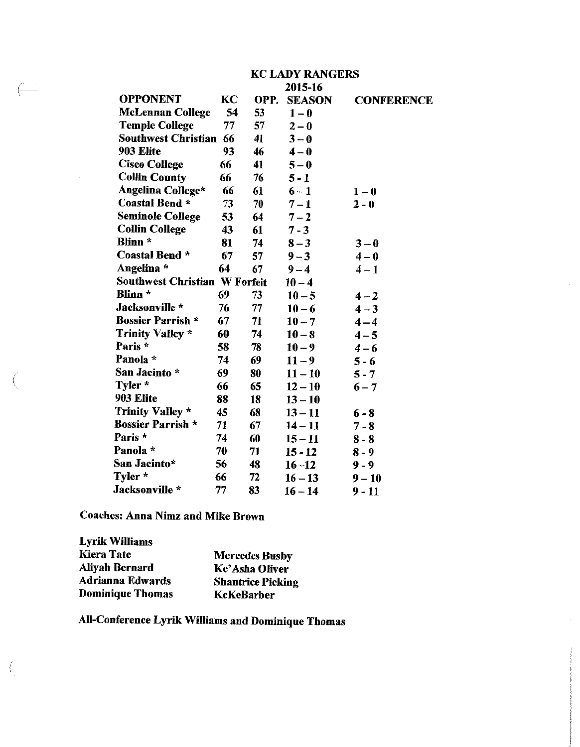|                               | KC LADY RANGERS |      |               |                   |
|-------------------------------|-----------------|------|---------------|-------------------|
|                               |                 |      | 2015-16       |                   |
| <b>OPPONENT</b>               | KC              | OPP. | <b>SEASON</b> | <b>CONFERENCE</b> |
| <b>McLennan College</b>       | 54              | 53   | $1-0$         |                   |
| <b>Temple College</b>         | 77              | 57   | $2 - 0$       |                   |
| Southwest Christian 66        |                 | 41   | $3 - 0$       |                   |
| 903 Elite                     | 93              | 46   | $4-0$         |                   |
| <b>Cisco College</b>          | 66              | 41   | $5 - 0$       |                   |
| <b>Collin County</b>          | 66              | 76   | $5 - 1$       |                   |
| Angelina College*             | 66              | 61   | $6 - 1$       | $1-0$             |
| Coastal Bend *                | 73              | 70   | $7 - 1$       | $2 - 0$           |
| <b>Seminole College</b>       | 53              | 64   | $7 - 2$       |                   |
| <b>Collin College</b>         | 43              | 61   | $7 - 3$       |                   |
| Blinn *                       | 81              | 74   | $8 - 3$       | $3 - 0$           |
| Coastal Bend *                | 67              | 57   | $9 - 3$       | $4-0$             |
| Angelina *                    | 64              | 67   | $9 - 4$       | $4 - 1$           |
| Southwest Christian W Forfeit |                 |      | $10 - 4$      |                   |
| Blinn *                       | 69              | 73   | $10 - 5$      | $4 - 2$           |
| Jacksonville *                | 76              | 77   | $10 - 6$      | $4 - 3$           |
| <b>Bossier Parrish *</b>      | 67              | 71   | $10 - 7$      | $4 - 4$           |
| <b>Trinity Valley *</b>       | 60              | 74   | $10 - 8$      | $4 - 5$           |
| Paris *                       | 58              | 78   | $10 - 9$      | $4 - 6$           |
| Panola *                      | 74              | 69   | $11 - 9$      | $5 - 6$           |
| San Jacinto *                 | 69              | 80   | $11 - 10$     | $5 - 7$           |
| Tyler *                       | 66              | 65   | $12 - 10$     | $6 - 7$           |
| 903 Elite                     | 88              | 18   | $13 - 10$     |                   |
| Trinity Valley *              | 45              | 68   | $13 - 11$     | $6 - 8$           |
| <b>Bossier Parrish *</b>      | 71              | 67   | $14 - 11$     | $7 - 8$           |
| Paris *                       | 74              | 60   | $15 - 11$     | $8 - 8$           |
| Panola *                      | 70              | 71   | 15 - 12       | $8 - 9$           |
| San Jacinto*                  | 56              | 48   | $16 - 12$     | $9 - 9$           |
| Tyler *                       | 66              | 72   | $16 - 13$     | $9 - 10$          |
| Jacksonville *                | 77              | 83   | $16 - 14$     | $9 - 11$          |

**Coaches: Anna Nimz and Mike Brown** 

**Lyrik Williams** Kiera Tate **Mercedes Busby Aliyah Bernard** Ke'Asha Oliver Adrianna Edwards **Shantrice Picking Dominique Thomas KeKeBarber** 

All-Conference Lyrik Williams and Dominique Thomas